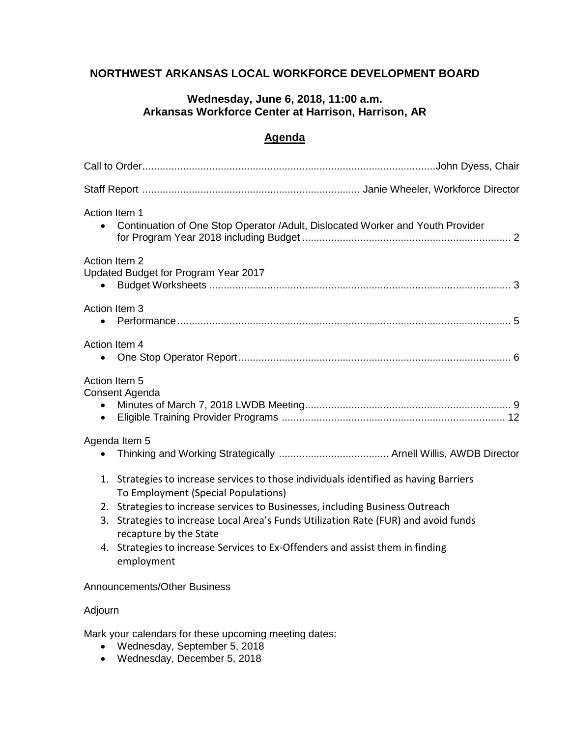### **NORTHWEST ARKANSAS LOCAL WORKFORCE DEVELOPMENT BOARD**

### **Wednesday, June 6, 2018, 11:00 a.m. Arkansas Workforce Center at Harrison, Harrison, AR**

### **Agenda**

| Action Item 1<br>Continuation of One Stop Operator / Adult, Dislocated Worker and Youth Provider<br>$\bullet$                                                                                                                                                                                                                                                                                                                    |
|----------------------------------------------------------------------------------------------------------------------------------------------------------------------------------------------------------------------------------------------------------------------------------------------------------------------------------------------------------------------------------------------------------------------------------|
| Action Item 2<br>Updated Budget for Program Year 2017                                                                                                                                                                                                                                                                                                                                                                            |
| Action Item 3                                                                                                                                                                                                                                                                                                                                                                                                                    |
| Action Item 4                                                                                                                                                                                                                                                                                                                                                                                                                    |
| Action Item 5<br>Consent Agenda<br>$\bullet$<br>$\bullet$                                                                                                                                                                                                                                                                                                                                                                        |
| Agenda Item 5<br>$\bullet$                                                                                                                                                                                                                                                                                                                                                                                                       |
| 1. Strategies to increase services to those individuals identified as having Barriers<br>To Employment (Special Populations)<br>2. Strategies to increase services to Businesses, including Business Outreach<br>Strategies to increase Local Area's Funds Utilization Rate (FUR) and avoid funds<br>3.<br>recapture by the State<br>4. Strategies to increase Services to Ex-Offenders and assist them in finding<br>employment |
| <b>Announcements/Other Business</b>                                                                                                                                                                                                                                                                                                                                                                                              |
| Adjourn                                                                                                                                                                                                                                                                                                                                                                                                                          |

Mark your calendars for these upcoming meeting dates:

- Wednesday, September 5, 2018
- Wednesday, December 5, 2018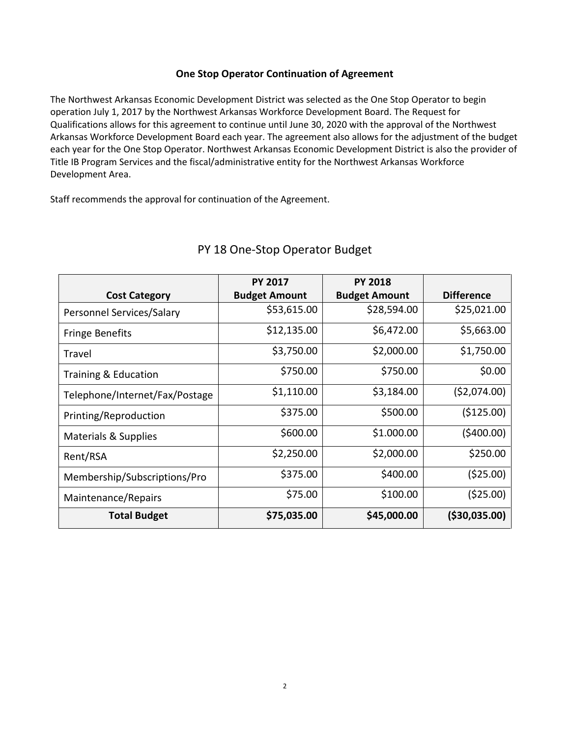### **One Stop Operator Continuation of Agreement**

The Northwest Arkansas Economic Development District was selected as the One Stop Operator to begin operation July 1, 2017 by the Northwest Arkansas Workforce Development Board. The Request for Qualifications allows for this agreement to continue until June 30, 2020 with the approval of the Northwest Arkansas Workforce Development Board each year. The agreement also allows for the adjustment of the budget each year for the One Stop Operator. Northwest Arkansas Economic Development District is also the provider of Title IB Program Services and the fiscal/administrative entity for the Northwest Arkansas Workforce Development Area.

Staff recommends the approval for continuation of the Agreement.

|                                | <b>PY 2017</b>       | <b>PY 2018</b>       |                   |
|--------------------------------|----------------------|----------------------|-------------------|
| <b>Cost Category</b>           | <b>Budget Amount</b> | <b>Budget Amount</b> | <b>Difference</b> |
| Personnel Services/Salary      | \$53,615.00          | \$28,594.00          | \$25,021.00       |
| <b>Fringe Benefits</b>         | \$12,135.00          | \$6,472.00           | \$5,663.00        |
| Travel                         | \$3,750.00           | \$2,000.00           | \$1,750.00        |
| Training & Education           | \$750.00             | \$750.00             | \$0.00            |
| Telephone/Internet/Fax/Postage | \$1,110.00           | \$3,184.00           | (52,074.00)       |
| Printing/Reproduction          | \$375.00             | \$500.00             | ( \$125.00)       |
| Materials & Supplies           | \$600.00             | \$1.000.00           | (5400.00)         |
| Rent/RSA                       | \$2,250.00           | \$2,000.00           | \$250.00          |
| Membership/Subscriptions/Pro   | \$375.00             | \$400.00             | (525.00)          |
| Maintenance/Repairs            | \$75.00              | \$100.00             | (\$25.00)         |
| <b>Total Budget</b>            | \$75,035.00          | \$45,000.00          | ( \$30,035.00)    |

### PY 18 One-Stop Operator Budget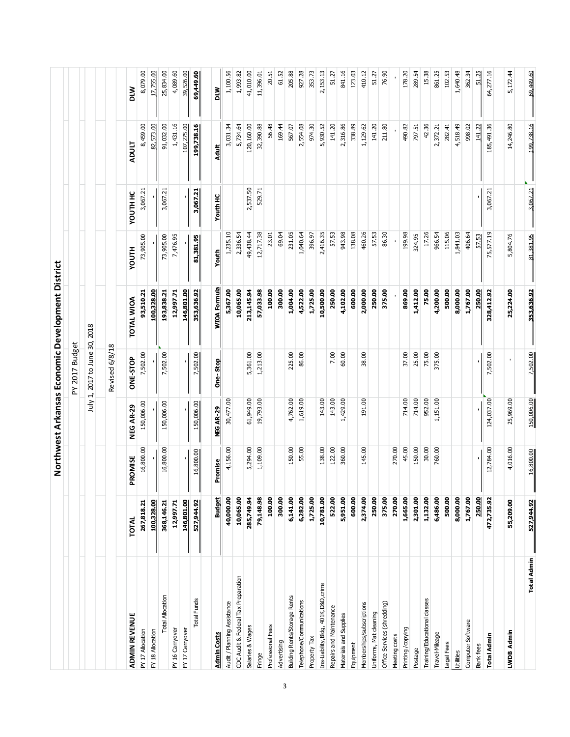|                                       |               |           |                  |                               | Northwest Arkansas Economic Development District |              |                 |              |             |
|---------------------------------------|---------------|-----------|------------------|-------------------------------|--------------------------------------------------|--------------|-----------------|--------------|-------------|
|                                       |               |           |                  | PY 2017 Budget                |                                                  |              |                 |              |             |
|                                       |               |           |                  | July 1, 2017 to June 30, 2018 |                                                  |              |                 |              |             |
|                                       |               |           |                  | Revised 6/8/18                |                                                  |              |                 |              |             |
| ADMIN REVENUE                         | TOTAL         | PROMISE   | NEG AR-29        | ONE-STOP                      | <b>TOTAL WIOA</b>                                | <b>HLNOA</b> | <b>YOUTH HC</b> | <b>TINGY</b> | DLW         |
| PY 17 Allocation                      | 267,818.21    | 16,800.00 | 150,006.00       | 7,502.00                      | 93,510.21                                        | 73,905.00    | 3,067.21        | 8,459.00     | 8,079.00    |
| FY 18 Allocation                      | 100,328.00    |           |                  |                               | 100,328.00                                       |              |                 | 82,573.00    | 17,755.00   |
| <b>Total Allocation</b>               | 368,146.21    | 16,800.00 | 150,006.00       | 7,502.00                      | 193,838.21                                       | 73,905.00    | ក្<br>3,067.    | 91,032.00    | 25,834.00   |
| PY 16 Carryover                       | 12,997.71     |           |                  |                               | 12,997.71                                        | 7,476.95     |                 | 1,431.16     | 4,089.60    |
| FY 17 Carryover                       | 146,801.00    |           |                  |                               | 146,801.00                                       |              |                 | 107,275.00   | 39,526.00   |
| Total Funds                           | 527,944.92    | 16,800.00 | 150,006.00       | 7,502.00                      | 353,636.92                                       | 81,381.95    | 3,067.21        | 199,738.16   | 69,449.60   |
| <u>Admin Costs</u>                    | <b>Budget</b> | Promise   | <b>NEG AR-29</b> | One-Stop                      | WIOA Formula                                     | Youth        | <b>Youth HC</b> | <b>Adult</b> | DLW         |
| Audit / Planning Assistance           | 40,000.00     | 4,156.00  | 30,477.00        |                               | 5,367.00                                         | 1,235.10     |                 | 3,031.34     | 1,100.56    |
| CDC Audit & Federal Tax Preparation   | 10,065.00     |           |                  |                               | 10,065.00                                        | 2,336.54     |                 | 5,734.64     | 1,993.82    |
| Salaries & Wages                      | 285,749.94    | 5,294.00  | 61,949.00        | 5,361.00                      | 213,145.94                                       | 49, 438. 44  | 2,537.50        | 120, 160.00  | 41,010.00   |
| Fringe                                | 79,148.98     | 1,109.00  | 19,793.00        | 1,213.00                      | 57,033.98                                        | 12,717.38    | 529.71          | 32,390.88    | 11,396.01   |
| Professional Fees                     | 100.00        |           |                  |                               | 100.00                                           | 23.01        |                 | 56.48        | 20.51       |
| Advertising                           | 300.00        |           |                  |                               | 300.00                                           | 69.04        |                 | 169.44       | 61.52       |
| Building Rents/Storage Rents          | 6,141.00      | 150.00    | 4,762.00         | 225.00                        | 1,004.00                                         | 231.05       |                 | 567.07       | 205.88      |
| Telephone/Communications              | 6,282.00      | 55.00     | 1,619.00         | 86.00                         | 4,522.00                                         | 1,040.64     |                 | 2,554.08     | 927.28      |
| Property Tax                          | 1,725.00      |           |                  |                               | 1,725.00                                         | 396.97       |                 | 974.30       | 353.73      |
| Ins-Liability, Bldg, 401K, D&O, crime | 10,781.00     | 138.00    | 143.00           |                               | 10,500.00                                        | 2,416.35     |                 | 5,930.52     | 2,153.13    |
| Repairs and Maintenance               | 522.00        | 122.00    | 143.00           | 7.00                          | 250.00                                           | 57.53        |                 | 141.20       | 51.27       |
| Materials and Supplies                | 5,951.00      | 360.00    | 1,429.00         | 60.00                         | 4,102.00                                         | 943.98       |                 | 2,316.86     | 841.16      |
| Equipment                             | 600.00        |           |                  |                               | 600.00                                           | 138.08       |                 | 338.89       | 123.03      |
| Memberships/subscriptions             | 2,374.00      | 145.00    | 191.00           | 38.00                         | 2,000.00                                         | 460.26       |                 | 1,129.62     | 410.12      |
| Uniforms, Mat deaning                 | 250.00        |           |                  |                               | 250.00                                           | 57.53        |                 | 141.20       | $51.27$     |
| Office Services (shredding)           | 375.00        |           |                  |                               | 375.00                                           | 86.30        |                 | 211.80       | 76.90       |
| Meeting costs                         | 270.00        | 270.00    |                  |                               |                                                  |              |                 |              |             |
| Printing /copying                     | 1,665.00      | 45.00     | 714.00           | 37.00                         | 869.00                                           | 199.98       |                 | 490.82       | 178.20      |
| Postage                               | 2,301.00      | 150.00    | 714.00           | 25.00                         | 1,412.00                                         | 324.95       |                 | 797.51       | 289.54      |
| Training/Educational classes          | 1,132.00      | 30.00     | 952.00           | 75.00                         | 75.00                                            | 17.26        |                 | 42.36        | 15.38       |
| Travel-Mileage                        | 6,486.00      | 760.00    | 1,151.00         | 375.00                        | 4,200.00                                         | 966.54       |                 | 2,372.21     | 861.25      |
| Legal Fees                            | 500.00        |           |                  |                               | 500.00                                           | 115.06       |                 | 282.41       | 102.53      |
| Utilities                             | 8,000.00      |           |                  |                               | 8,000.00                                         | 1,841.03     |                 | 4,518.49     | 1,640.48    |
| Computer Software                     | 1,767.00      |           |                  |                               | 1,767.00                                         | 406.64       |                 | 998.02       | 362.34      |
| Bank fees                             | 250.00        |           |                  |                               | 250.00                                           | 57.53        |                 | 141.22       | 51.25       |
| <b>Total Admin</b>                    | 472,735.92    | 12,784.00 | 124,037.00       | 7,502.00                      | 328,412.92                                       | 75,577.19    | 3,067.21        | 185, 491.36  | 64,277.16   |
|                                       |               |           |                  |                               |                                                  |              |                 |              |             |
| LWDB Admin                            | 55,209.00     | 4,016.00  | 25,969.00        |                               | 25,224.00                                        | 5,804.76     |                 | 14,246.80    | 4<br>5,172. |
|                                       |               |           |                  |                               |                                                  |              |                 |              |             |
| <b>Total Admin</b>                    | 527,944.92    | 16,800.00 | 150,006.00       | 7,502.00                      | 353,636.92                                       | $-81,381,95$ | 3,067.21        | 199,738.16   | 69,449.60   |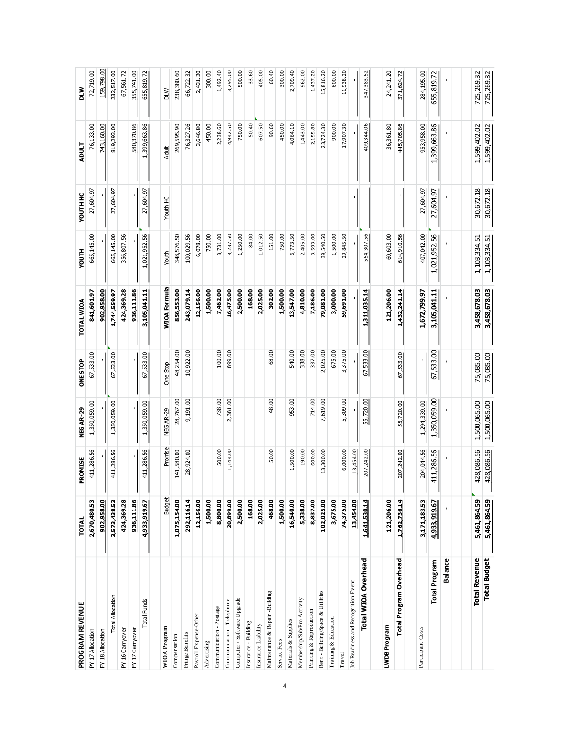| <b>PROGRAM REVENUE</b>              | <b>TOTAL</b>  | PROMISE    | <b>NEG AR-29</b> | <b>ONE STOP</b> | <b>TOTAL WIOA</b> | <b>HLION</b> | YOUTH HC     | <b>TINGY</b> | DLW        |
|-------------------------------------|---------------|------------|------------------|-----------------|-------------------|--------------|--------------|--------------|------------|
| PY 17 Allocation                    | 2,670,480.53  | 411,286.56 | 1,350,059.00     | 67,533.00       | 841,601.97        | 665,145.00   | 27,604.97    | 76,133.00    | 72,719.00  |
| FY 18 Allocation                    | 902,958.00    |            |                  |                 | 902,958.00        |              |              | 743,160.00   | 159,798.00 |
| <b>Total Allocation</b>             | 3,573,438.53  | 411,286.56 | 1,350,059.00     | ,533.00<br>67   | 1,744,559.97      | 665,145.00   | 27,604.97    | 819,293.00   | 232,517.00 |
| PY 16 Carryover                     | 424,369.28    |            |                  |                 | 424,369.28        | 356,807.56   |              |              | 67,561.72  |
| FY17 Carryover                      | 936,111.86    |            |                  |                 | 936,111.86        |              |              | 580,370.86   | 355,741.00 |
| <b>Total Funds</b>                  | 4,933,919.67  | 411,286.56 | 1,350,059.00     | 533.00<br>67    | 3,105,041.11      | 1,021,952.56 | 604.97<br>27 | 1,399,663.86 | 655,819.72 |
| <b>WIOA</b> Program                 | <b>Budget</b> | Promise    | NEG AR-29        | One Stop        | WIOA Formula      | Youth        | Youth HC     | Adult        | <b>NTO</b> |
| Compensation                        | 1,075,154.00  | 141,580.00 | 28,767.00        | 48,254.00       | 856,553.00        | 348,576.50   |              | 269,595.90   | 238,380.60 |
| Fringe Benefits                     | 292,116.14    | 28,924.00  | 9,191.00         | 10,922.00       | 243,079.14        | 100,029.56   |              | 76,327.26    | 66,722.32  |
| Payroll Expense-Other               | 12,156.00     |            |                  |                 | 12,156.00         | 6,078.00     |              | 3,646.80     | 2,431.20   |
| Advertising                         | 1,500.00      |            |                  |                 | 1,500.00          | 750.00       |              | 450.00       | 300.00     |
| Communication - Postage             | 8,800.00      | 500.00     | 738.00           | 100.00          | 7,462.00          | 3,731.00     |              | 2,238.60     | 1,492.40   |
| Communication - Telephone           | 20,899.00     | 1,144.00   | 2,381.00         | 899.00          | 16,475.00         | 8,237.50     |              | 4,942.50     | 3,295.00   |
| Computer / Software Upgrade         | 2,500.00      |            |                  |                 | 2,500.00          | 1,250.00     |              | 750.00       | 500.00     |
| Insurance - Building                | 168.00        |            |                  |                 | 168.00            | 84.00        |              | 50.40        | 33.60      |
| Insurance-Liability                 | 2,025.00      |            |                  |                 | 2,025.00          | 1,012.50     |              | 607.50       | 405.00     |
| Maintenance & Repair -Building      | 468.00        | 50.00      | 48.00            | 68.00           | 302.00            | 151.00       |              | 90.60        | 60.40      |
| Service Fees                        | 1,500.00      |            |                  |                 | 1,500.00          | 750.00       |              | 450.00       | 300.00     |
| Materials & Supplies                | 16,540.00     | 1,500.00   | 953.00           | 540.00          | 13,547.00         | 6,773.50     |              | 4,064.10     | 2,709.40   |
| Membership/Sub/Pro Activity         | 5,338.00      | 190.00     |                  | 338.00          | 4,810.00          | 2,405.00     |              | 1,443.00     | 962.00     |
| Printing & Reproduction             | 8,837.00      | 600.00     | 714.00           | 337.00          | 7,186.00          | 3,593.00     |              | 2,155.80     | 1,437.20   |
| Rent - Building/Space & Utilities   | 102,025.00    | 13,300.00  | 7,619.00         | 2,025.00        | 79,081.00         | 39,540.50    |              | 23,724.30    | 15,816.20  |
| Training & Education                | 3,675.00      |            |                  | 675.00          | 3,000.00          | 1,500.00     |              | 900.00       | 600.00     |
| Travel                              | 74,375.00     | 6,000.00   | 5,309.00         | 3,375.00        | 59,691.00         | 29,845.50    |              | 17,907.30    | 11,938.20  |
| Job Readiness and Recognition Event | 13,454.00     | 13,454.00  |                  |                 |                   |              |              |              |            |
| <b>Total WIOA Overhead</b>          | 1,641,530.14  | 207,242.00 | 55,720.00        | 533.00<br>67,   | 1,311,035.14      | 554,307.56   |              | 409,344.06   | 347,383.52 |
|                                     |               |            |                  |                 |                   |              |              |              |            |
| LWDB Program                        | 121,206.00    |            |                  |                 | 121,206.00        | 60,603.00    |              | 36,361.80    | 24,241.20  |
| <b>Total Program Overhead</b>       | 1,762,736.14  | 207,242.00 | 55,720.00        | 67,533.00       | 1,432,241.14      | 614,910.56   |              | 445,705.86   | 371,624.72 |
|                                     |               |            |                  |                 |                   |              |              |              |            |
| Participant Costs                   | 3,171,183.53  | 204,044.56 | 1,294,339.00     |                 | 1,672,799.97      | 407,042.00   | 27,604.97    | 953,958.00   | 284,195.00 |
| <b>Total Program</b>                | 4,933,919.67  | 411,286.56 | 1,350,059.00     | 67,533.00       | 3,105,041.11      | 1,021,952.56 | 27,604.97    | 1,399,663.86 | 655,819.72 |
| Balance                             |               |            |                  |                 |                   |              |              |              |            |
|                                     |               |            |                  |                 |                   |              |              |              |            |
| <b>Total Revenue</b>                | 5,461,864.59  | 428,086.56 | 1,500,065.00     | 75,035.00       | 3,458,678.03      | 1,103,334.51 | 30,672.18    | 1,599,402.02 | 725,269.32 |
| <b>Total Budget</b>                 | 5,461,864.59  | 428,086.56 | 1,500,065.00     | 75,035.00       | 3,458,678.03      | 1,103,334.51 | 30,672.18    | 1,599,402.02 | 725,269.32 |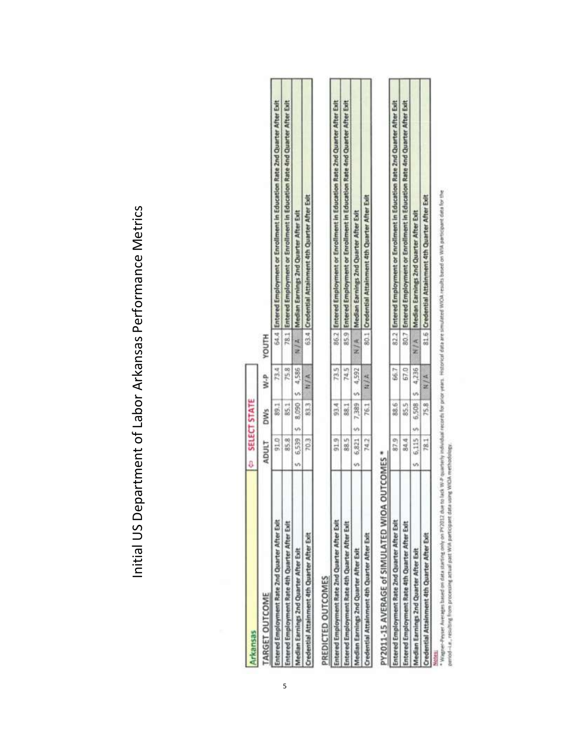## Initial US Department of Labor Arkansas Performance Metrics Initial US Department of Labor Arkansas Performance Metrics

|                                             |              | <b>CONSELECT STATE</b> |            |           |                                                                                |
|---------------------------------------------|--------------|------------------------|------------|-----------|--------------------------------------------------------------------------------|
| ARGET OUTCOME                               | <b>ADULT</b> | <b>DWs</b>             |            | W-P YOUTH |                                                                                |
| nent Rate 2nd Quarter After Exit            | 91.0         | 89.1                   | 73.4       |           | 64.4 Entered Employment or Enrollment in Education Rate 2nd Quarter After Exit |
| ered Employment Rate 4th Quarter After Exit | 85.8         | 85.1                   | 75.8       | g         | rred Employment or Enrollment in Education Rate And Quarter After Exit         |
| edian Earnings 2nd Quarter After Exit       | 6,539        | 8,090                  | 4,586      |           | N/A Median Earnings 2nd Quarter After Exit                                     |
| t 4th Quarter After Exit                    | 70.3         | 83.3                   | <b>N/A</b> |           | 63.4 Credential Attainment 4th Quarter After Exit                              |

### PREDICTED OUTCOMES

5

| <b>And Party Road</b>                        | 745                                         |                                        |                                              |
|----------------------------------------------|---------------------------------------------|----------------------------------------|----------------------------------------------|
| cered Employment Rate 2nd Quarter After Exit | ered Employment Rate 4th Quarter After Exit | Median Earnings 2nd Quarter After Exit | Credential Attainment 4th Quarter After Exit |

# PY2011-15 AVERAGE of SIMULATED WIOA OUTCOMES \*

| loyment Rate 2nd Quarter After Exit | 87.9 |      | 66.7       | ğ          | Enrollment in Education Rate 2nd Quarter After Exit |
|-------------------------------------|------|------|------------|------------|-----------------------------------------------------|
| oyment Rate 4th Quarter After Exit  | 84.4 | 88.5 | 67.0       | 80.7       | arollment in Education Rate And Quarter After Exit  |
| fter E<br>2nd Quarter A             | į    |      | 4,236<br>š | <b>NIA</b> | ŀ<br>ter After Exit<br>and Quart<br>Median F.       |
| tainment 4th Quarter After Exi      |      |      | l          |            | ent 4th Quarter After Exit<br><b>El Croodant</b>    |
|                                     |      |      |            |            |                                                     |

. MICES<br>- MICES Proter Averages based on data starting only on PY2012 due to lake We miles records for provided water and multiple of the second due to the<br>- amod -4 . resulting from processing actual part With participate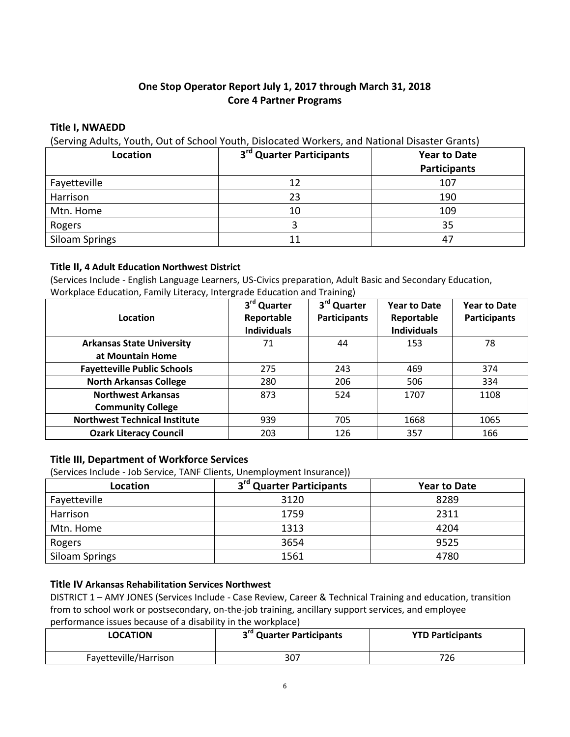### **One Stop Operator Report July 1, 2017 through March 31, 2018 Core 4 Partner Programs**

### **Title I, NWAEDD**

(Serving Adults, Youth, Out of School Youth, Dislocated Workers, and National Disaster Grants)

| Location              | 3 <sup>rd</sup> Quarter Participants | <b>Year to Date</b> |
|-----------------------|--------------------------------------|---------------------|
|                       |                                      | <b>Participants</b> |
| Fayetteville          | 12                                   | 107                 |
| Harrison              | 23                                   | 190                 |
| Mtn. Home             | 10                                   | 109                 |
| Rogers                |                                      | 35                  |
| <b>Siloam Springs</b> |                                      | 47                  |

### **Title II, 4 Adult Education Northwest District**

(Services Include - English Language Learners, US-Civics preparation, Adult Basic and Secondary Education, Workplace Education, Family Literacy, Intergrade Education and Training)

| <b>Location</b>                      | 3 <sup>rd</sup> Quarter<br>Reportable<br><b>Individuals</b> | 3 <sup>rd</sup> Quarter<br><b>Participants</b> | <b>Year to Date</b><br>Reportable<br><b>Individuals</b> | <b>Year to Date</b><br><b>Participants</b> |
|--------------------------------------|-------------------------------------------------------------|------------------------------------------------|---------------------------------------------------------|--------------------------------------------|
| <b>Arkansas State University</b>     | 71                                                          | 44                                             | 153                                                     | 78                                         |
| at Mountain Home                     |                                                             |                                                |                                                         |                                            |
| <b>Fayetteville Public Schools</b>   | 275                                                         | 243                                            | 469                                                     | 374                                        |
| <b>North Arkansas College</b>        | 280                                                         | 206                                            | 506                                                     | 334                                        |
| <b>Northwest Arkansas</b>            | 873                                                         | 524                                            | 1707                                                    | 1108                                       |
| <b>Community College</b>             |                                                             |                                                |                                                         |                                            |
| <b>Northwest Technical Institute</b> | 939                                                         | 705                                            | 1668                                                    | 1065                                       |
| <b>Ozark Literacy Council</b>        | 203                                                         | 126                                            | 357                                                     | 166                                        |

### **Title III, Department of Workforce Services**

(Services Include - Job Service, TANF Clients, Unemployment Insurance))

| Location       | 3 <sup>rd</sup> Quarter Participants | <b>Year to Date</b> |
|----------------|--------------------------------------|---------------------|
| Fayetteville   | 3120                                 | 8289                |
| Harrison       | 1759                                 | 2311                |
| Mtn. Home      | 1313                                 | 4204                |
| Rogers         | 3654                                 | 9525                |
| Siloam Springs | 1561                                 | 4780                |

### **Title IV Arkansas Rehabilitation Services Northwest**

DISTRICT 1 – AMY JONES (Services Include - Case Review, Career & Technical Training and education, transition from to school work or postsecondary, on-the-job training, ancillary support services, and employee performance issues because of a disability in the workplace)

| <b>LOCATION</b>       | 3 <sup>rd</sup> Quarter Participants | <b>YTD Participants</b> |
|-----------------------|--------------------------------------|-------------------------|
| Fayetteville/Harrison | 307                                  | 726                     |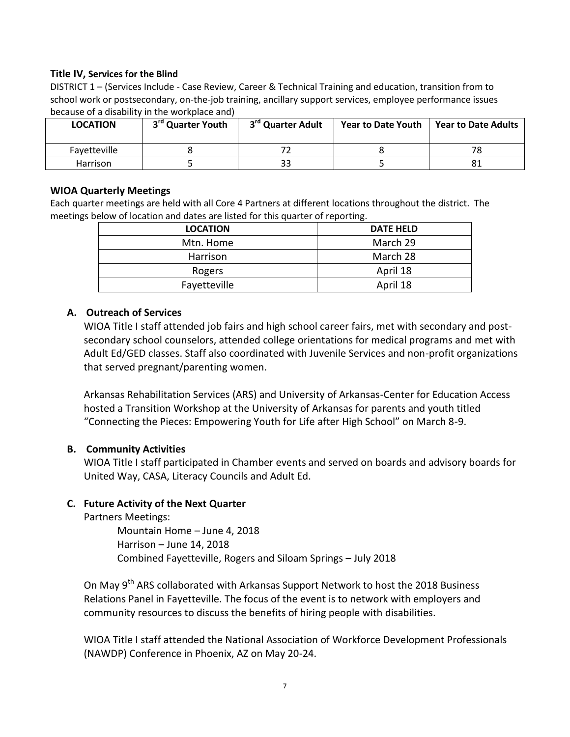### **Title IV, Services for the Blind**

DISTRICT 1 – (Services Include - Case Review, Career & Technical Training and education, transition from to school work or postsecondary, on-the-job training, ancillary support services, employee performance issues because of a disability in the workplace and)

| <b>LOCATION</b> | 3rd Quarter Youth | 3 <sup>rd</sup> Quarter Adult | <b>Year to Date Youth</b> | <b>Year to Date Adults</b> |
|-----------------|-------------------|-------------------------------|---------------------------|----------------------------|
| Favetteville    |                   |                               |                           | 78                         |
| <b>Harrison</b> |                   |                               |                           |                            |

### **WIOA Quarterly Meetings**

Each quarter meetings are held with all Core 4 Partners at different locations throughout the district. The meetings below of location and dates are listed for this quarter of reporting.

| <b>LOCATION</b> | <b>DATE HELD</b> |
|-----------------|------------------|
| Mtn. Home       | March 29         |
| Harrison        | March 28         |
| Rogers          | April 18         |
| Fayetteville    | April 18         |

### **A. Outreach of Services**

WIOA Title I staff attended job fairs and high school career fairs, met with secondary and postsecondary school counselors, attended college orientations for medical programs and met with Adult Ed/GED classes. Staff also coordinated with Juvenile Services and non-profit organizations that served pregnant/parenting women.

Arkansas Rehabilitation Services (ARS) and University of Arkansas-Center for Education Access hosted a Transition Workshop at the University of Arkansas for parents and youth titled "Connecting the Pieces: Empowering Youth for Life after High School" on March 8-9.

### **B. Community Activities**

WIOA Title I staff participated in Chamber events and served on boards and advisory boards for United Way, CASA, Literacy Councils and Adult Ed.

### **C. Future Activity of the Next Quarter**

Partners Meetings:

Mountain Home – June 4, 2018 Harrison – June 14, 2018 Combined Fayetteville, Rogers and Siloam Springs – July 2018

On May 9<sup>th</sup> ARS collaborated with Arkansas Support Network to host the 2018 Business Relations Panel in Fayetteville. The focus of the event is to network with employers and community resources to discuss the benefits of hiring people with disabilities.

WIOA Title I staff attended the National Association of Workforce Development Professionals (NAWDP) Conference in Phoenix, AZ on May 20-24.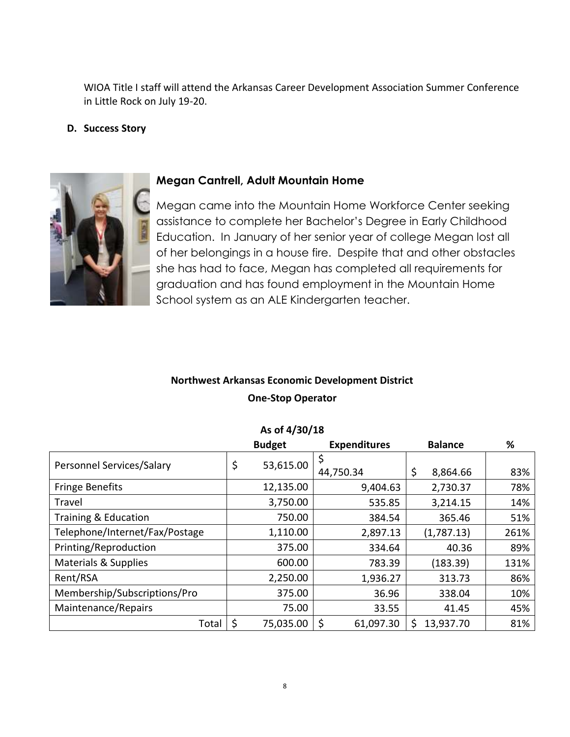WIOA Title I staff will attend the Arkansas Career Development Association Summer Conference in Little Rock on July 19-20.

### **D. Success Story**



### **Megan Cantrell, Adult Mountain Home**

Megan came into the Mountain Home Workforce Center seeking assistance to complete her Bachelor's Degree in Early Childhood Education. In January of her senior year of college Megan lost all of her belongings in a house fire. Despite that and other obstacles she has had to face, Megan has completed all requirements for graduation and has found employment in the Mountain Home School system as an ALE Kindergarten teacher.

### **Northwest Arkansas Economic Development District One-Stop Operator**

### **As of 4/30/18 Budget Expenditures Balance %** Personnel Services/Salary  $\begin{vmatrix} 5 & 53,615.00 \end{vmatrix}$ 44,750.34 | \$ 8,864.66 | 83% Fringe Benefits **12,135.00** | 12,135.00 | 9,404.63 | 2,730.37 | 78% Travel | 3,750.00 | 535.85 | 3,214.15 | 14% Training & Education  $\vert$  750.00  $\vert$  384.54  $\vert$  365.46  $\vert$  51% Telephone/Internet/Fax/Postage 1,110.00 2,897.13 (1,787.13) 261% Printing/Reproduction | 375.00 334.64 40.36 89% Materials & Supplies | 600.00 | 600.00 | 783.39 | 131% Rent/RSA | 2,250.00 | 1,936.27 | 313.73 | 86% Membership/Subscriptions/Pro | 375.00 36.96 36.96 338.04 10% Maintenance/Repairs 75.00 33.55 41.45 45% Total  $\binom{5}{7}$  75,035.00  $\binom{6}{7}$  61,097.30  $\binom{6}{7}$  13,937.70  $\binom{81\%}{7}$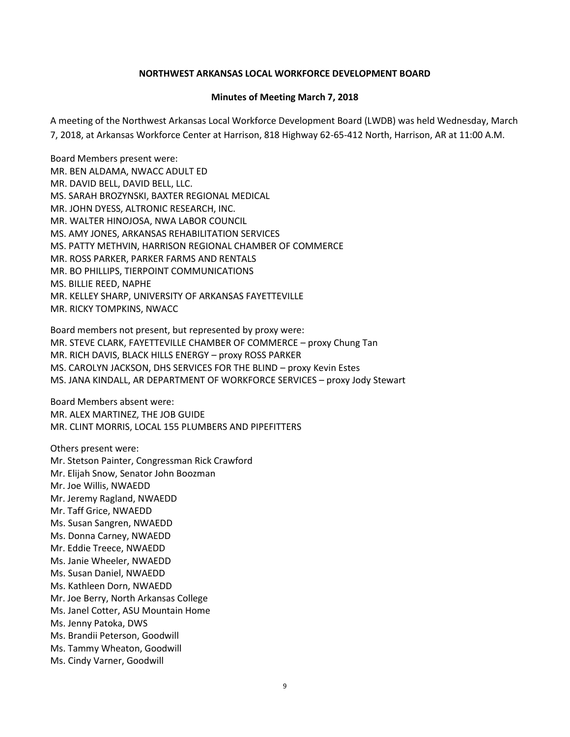### **NORTHWEST ARKANSAS LOCAL WORKFORCE DEVELOPMENT BOARD**

### **Minutes of Meeting March 7, 2018**

A meeting of the Northwest Arkansas Local Workforce Development Board (LWDB) was held Wednesday, March 7, 2018, at Arkansas Workforce Center at Harrison, 818 Highway 62-65-412 North, Harrison, AR at 11:00 A.M.

Board Members present were: MR. BEN ALDAMA, NWACC ADULT ED MR. DAVID BELL, DAVID BELL, LLC. MS. SARAH BROZYNSKI, BAXTER REGIONAL MEDICAL MR. JOHN DYESS, ALTRONIC RESEARCH, INC. MR. WALTER HINOJOSA, NWA LABOR COUNCIL MS. AMY JONES, ARKANSAS REHABILITATION SERVICES MS. PATTY METHVIN, HARRISON REGIONAL CHAMBER OF COMMERCE MR. ROSS PARKER, PARKER FARMS AND RENTALS MR. BO PHILLIPS, TIERPOINT COMMUNICATIONS MS. BILLIE REED, NAPHE MR. KELLEY SHARP, UNIVERSITY OF ARKANSAS FAYETTEVILLE MR. RICKY TOMPKINS, NWACC

Board members not present, but represented by proxy were: MR. STEVE CLARK, FAYETTEVILLE CHAMBER OF COMMERCE – proxy Chung Tan MR. RICH DAVIS, BLACK HILLS ENERGY – proxy ROSS PARKER MS. CAROLYN JACKSON, DHS SERVICES FOR THE BLIND – proxy Kevin Estes MS. JANA KINDALL, AR DEPARTMENT OF WORKFORCE SERVICES – proxy Jody Stewart

Board Members absent were: MR. ALEX MARTINEZ, THE JOB GUIDE MR. CLINT MORRIS, LOCAL 155 PLUMBERS AND PIPEFITTERS

Others present were: Mr. Stetson Painter, Congressman Rick Crawford Mr. Elijah Snow, Senator John Boozman Mr. Joe Willis, NWAEDD Mr. Jeremy Ragland, NWAEDD Mr. Taff Grice, NWAEDD Ms. Susan Sangren, NWAEDD Ms. Donna Carney, NWAEDD Mr. Eddie Treece, NWAEDD Ms. Janie Wheeler, NWAEDD Ms. Susan Daniel, NWAEDD Ms. Kathleen Dorn, NWAEDD Mr. Joe Berry, North Arkansas College Ms. Janel Cotter, ASU Mountain Home Ms. Jenny Patoka, DWS Ms. Brandii Peterson, Goodwill Ms. Tammy Wheaton, Goodwill Ms. Cindy Varner, Goodwill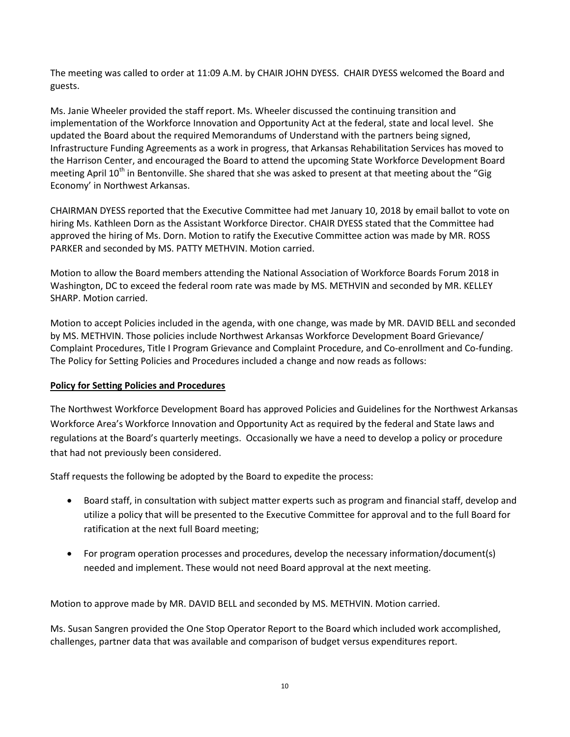The meeting was called to order at 11:09 A.M. by CHAIR JOHN DYESS. CHAIR DYESS welcomed the Board and guests.

Ms. Janie Wheeler provided the staff report. Ms. Wheeler discussed the continuing transition and implementation of the Workforce Innovation and Opportunity Act at the federal, state and local level. She updated the Board about the required Memorandums of Understand with the partners being signed, Infrastructure Funding Agreements as a work in progress, that Arkansas Rehabilitation Services has moved to the Harrison Center, and encouraged the Board to attend the upcoming State Workforce Development Board meeting April 10<sup>th</sup> in Bentonville. She shared that she was asked to present at that meeting about the "Gig Economy' in Northwest Arkansas.

CHAIRMAN DYESS reported that the Executive Committee had met January 10, 2018 by email ballot to vote on hiring Ms. Kathleen Dorn as the Assistant Workforce Director. CHAIR DYESS stated that the Committee had approved the hiring of Ms. Dorn. Motion to ratify the Executive Committee action was made by MR. ROSS PARKER and seconded by MS. PATTY METHVIN. Motion carried.

Motion to allow the Board members attending the National Association of Workforce Boards Forum 2018 in Washington, DC to exceed the federal room rate was made by MS. METHVIN and seconded by MR. KELLEY SHARP. Motion carried.

Motion to accept Policies included in the agenda, with one change, was made by MR. DAVID BELL and seconded by MS. METHVIN. Those policies include Northwest Arkansas Workforce Development Board Grievance/ Complaint Procedures, Title I Program Grievance and Complaint Procedure, and Co-enrollment and Co-funding. The Policy for Setting Policies and Procedures included a change and now reads as follows:

### **Policy for Setting Policies and Procedures**

The Northwest Workforce Development Board has approved Policies and Guidelines for the Northwest Arkansas Workforce Area's Workforce Innovation and Opportunity Act as required by the federal and State laws and regulations at the Board's quarterly meetings. Occasionally we have a need to develop a policy or procedure that had not previously been considered.

Staff requests the following be adopted by the Board to expedite the process:

- Board staff, in consultation with subject matter experts such as program and financial staff, develop and utilize a policy that will be presented to the Executive Committee for approval and to the full Board for ratification at the next full Board meeting;
- For program operation processes and procedures, develop the necessary information/document(s) needed and implement. These would not need Board approval at the next meeting.

Motion to approve made by MR. DAVID BELL and seconded by MS. METHVIN. Motion carried.

Ms. Susan Sangren provided the One Stop Operator Report to the Board which included work accomplished, challenges, partner data that was available and comparison of budget versus expenditures report.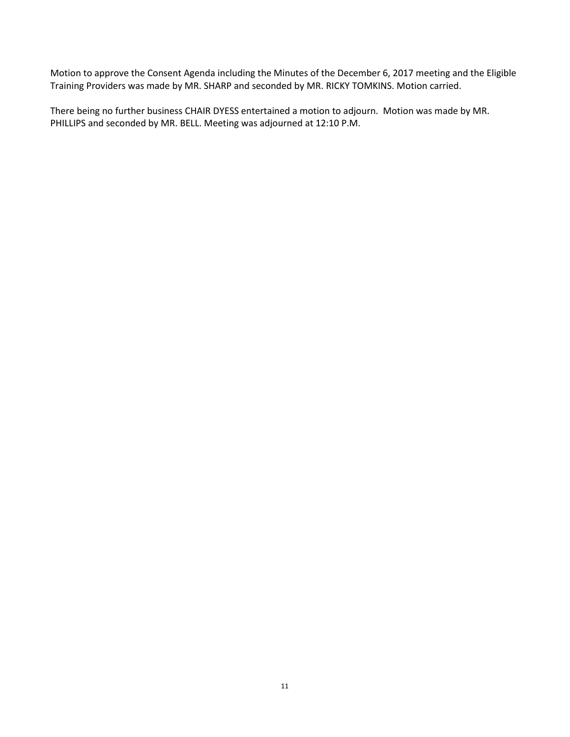Motion to approve the Consent Agenda including the Minutes of the December 6, 2017 meeting and the Eligible Training Providers was made by MR. SHARP and seconded by MR. RICKY TOMKINS. Motion carried.

There being no further business CHAIR DYESS entertained a motion to adjourn. Motion was made by MR. PHILLIPS and seconded by MR. BELL. Meeting was adjourned at 12:10 P.M.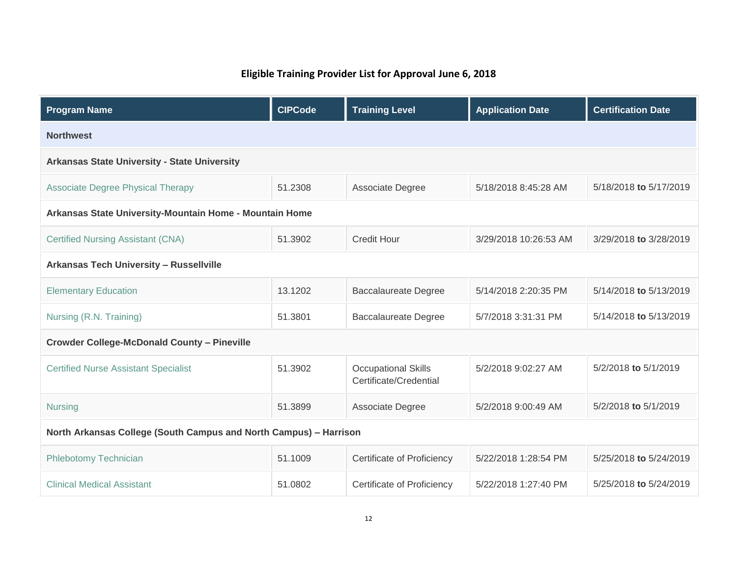### **Eligible Training Provider List for Approval June 6, 2018**

| <b>Program Name</b>                                               | <b>CIPCode</b> | <b>Training Level</b>                                | <b>Application Date</b> | <b>Certification Date</b> |  |
|-------------------------------------------------------------------|----------------|------------------------------------------------------|-------------------------|---------------------------|--|
| <b>Northwest</b>                                                  |                |                                                      |                         |                           |  |
| <b>Arkansas State University - State University</b>               |                |                                                      |                         |                           |  |
| <b>Associate Degree Physical Therapy</b>                          | 51.2308        | Associate Degree                                     | 5/18/2018 8:45:28 AM    | 5/18/2018 to 5/17/2019    |  |
| Arkansas State University-Mountain Home - Mountain Home           |                |                                                      |                         |                           |  |
| <b>Certified Nursing Assistant (CNA)</b>                          | 51.3902        | <b>Credit Hour</b>                                   | 3/29/2018 10:26:53 AM   | 3/29/2018 to 3/28/2019    |  |
| <b>Arkansas Tech University - Russellville</b>                    |                |                                                      |                         |                           |  |
| <b>Elementary Education</b>                                       | 13.1202        | <b>Baccalaureate Degree</b>                          | 5/14/2018 2:20:35 PM    | 5/14/2018 to 5/13/2019    |  |
| Nursing (R.N. Training)                                           | 51.3801        | <b>Baccalaureate Degree</b>                          | 5/7/2018 3:31:31 PM     | 5/14/2018 to 5/13/2019    |  |
| <b>Crowder College-McDonald County - Pineville</b>                |                |                                                      |                         |                           |  |
| <b>Certified Nurse Assistant Specialist</b>                       | 51.3902        | <b>Occupational Skills</b><br>Certificate/Credential | 5/2/2018 9:02:27 AM     | 5/2/2018 to 5/1/2019      |  |
| <b>Nursing</b>                                                    | 51.3899        | Associate Degree                                     | 5/2/2018 9:00:49 AM     | 5/2/2018 to 5/1/2019      |  |
| North Arkansas College (South Campus and North Campus) - Harrison |                |                                                      |                         |                           |  |
| Phlebotomy Technician                                             | 51.1009        | Certificate of Proficiency                           | 5/22/2018 1:28:54 PM    | 5/25/2018 to 5/24/2019    |  |
| <b>Clinical Medical Assistant</b>                                 | 51.0802        | Certificate of Proficiency                           | 5/22/2018 1:27:40 PM    | 5/25/2018 to 5/24/2019    |  |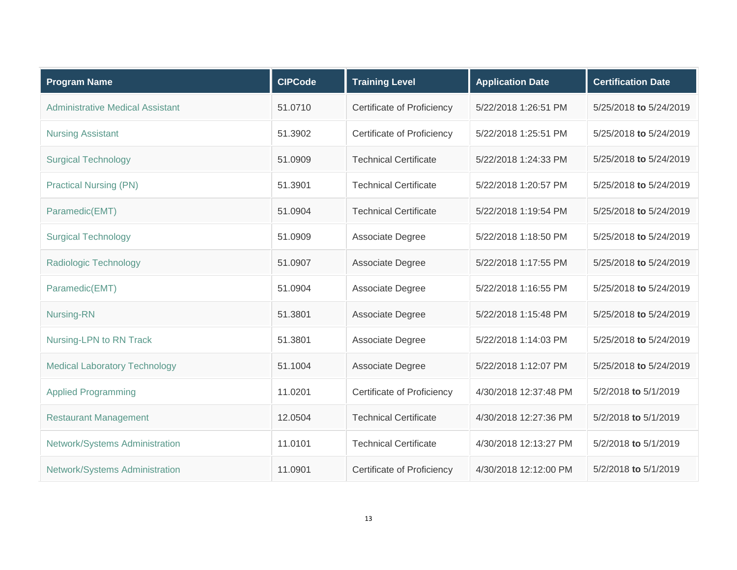| <b>Program Name</b>                     | <b>CIPCode</b> | <b>Training Level</b>        | <b>Application Date</b> | <b>Certification Date</b> |
|-----------------------------------------|----------------|------------------------------|-------------------------|---------------------------|
| <b>Administrative Medical Assistant</b> | 51.0710        | Certificate of Proficiency   | 5/22/2018 1:26:51 PM    | 5/25/2018 to 5/24/2019    |
| <b>Nursing Assistant</b>                | 51.3902        | Certificate of Proficiency   | 5/22/2018 1:25:51 PM    | 5/25/2018 to 5/24/2019    |
| <b>Surgical Technology</b>              | 51.0909        | <b>Technical Certificate</b> | 5/22/2018 1:24:33 PM    | 5/25/2018 to 5/24/2019    |
| <b>Practical Nursing (PN)</b>           | 51.3901        | <b>Technical Certificate</b> | 5/22/2018 1:20:57 PM    | 5/25/2018 to 5/24/2019    |
| Paramedic(EMT)                          | 51.0904        | <b>Technical Certificate</b> | 5/22/2018 1:19:54 PM    | 5/25/2018 to 5/24/2019    |
| <b>Surgical Technology</b>              | 51.0909        | Associate Degree             | 5/22/2018 1:18:50 PM    | 5/25/2018 to 5/24/2019    |
| Radiologic Technology                   | 51.0907        | Associate Degree             | 5/22/2018 1:17:55 PM    | 5/25/2018 to 5/24/2019    |
| Paramedic(EMT)                          | 51.0904        | Associate Degree             | 5/22/2018 1:16:55 PM    | 5/25/2018 to 5/24/2019    |
| <b>Nursing-RN</b>                       | 51.3801        | Associate Degree             | 5/22/2018 1:15:48 PM    | 5/25/2018 to 5/24/2019    |
| Nursing-LPN to RN Track                 | 51.3801        | Associate Degree             | 5/22/2018 1:14:03 PM    | 5/25/2018 to 5/24/2019    |
| <b>Medical Laboratory Technology</b>    | 51.1004        | Associate Degree             | 5/22/2018 1:12:07 PM    | 5/25/2018 to 5/24/2019    |
| <b>Applied Programming</b>              | 11.0201        | Certificate of Proficiency   | 4/30/2018 12:37:48 PM   | 5/2/2018 to 5/1/2019      |
| <b>Restaurant Management</b>            | 12.0504        | <b>Technical Certificate</b> | 4/30/2018 12:27:36 PM   | 5/2/2018 to 5/1/2019      |
| Network/Systems Administration          | 11.0101        | <b>Technical Certificate</b> | 4/30/2018 12:13:27 PM   | 5/2/2018 to 5/1/2019      |
| Network/Systems Administration          | 11.0901        | Certificate of Proficiency   | 4/30/2018 12:12:00 PM   | 5/2/2018 to 5/1/2019      |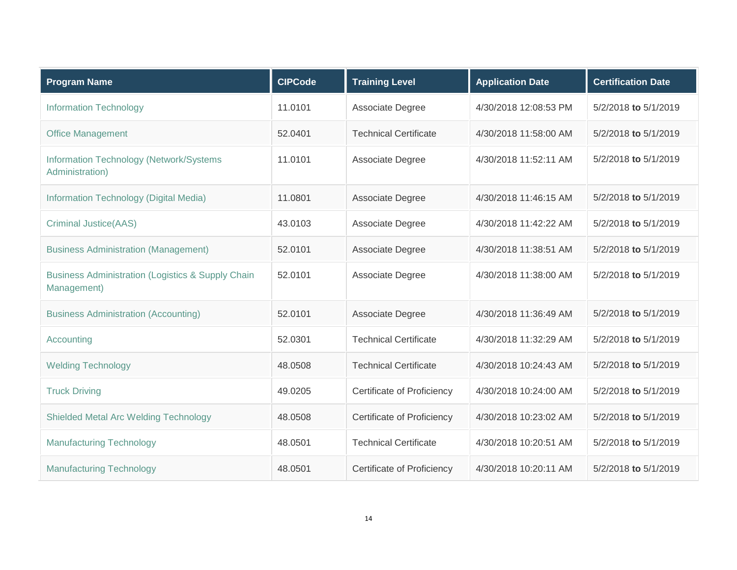| <b>Program Name</b>                                                         | <b>CIPCode</b> | <b>Training Level</b>        | <b>Application Date</b> | <b>Certification Date</b> |
|-----------------------------------------------------------------------------|----------------|------------------------------|-------------------------|---------------------------|
| <b>Information Technology</b>                                               | 11.0101        | Associate Degree             | 4/30/2018 12:08:53 PM   | 5/2/2018 to 5/1/2019      |
| <b>Office Management</b>                                                    | 52.0401        | <b>Technical Certificate</b> | 4/30/2018 11:58:00 AM   | 5/2/2018 to 5/1/2019      |
| Information Technology (Network/Systems<br>Administration)                  | 11.0101        | Associate Degree             | 4/30/2018 11:52:11 AM   | 5/2/2018 to 5/1/2019      |
| Information Technology (Digital Media)                                      | 11.0801        | Associate Degree             | 4/30/2018 11:46:15 AM   | 5/2/2018 to 5/1/2019      |
| <b>Criminal Justice(AAS)</b>                                                | 43.0103        | Associate Degree             | 4/30/2018 11:42:22 AM   | 5/2/2018 to 5/1/2019      |
| <b>Business Administration (Management)</b>                                 | 52.0101        | Associate Degree             | 4/30/2018 11:38:51 AM   | 5/2/2018 to 5/1/2019      |
| <b>Business Administration (Logistics &amp; Supply Chain</b><br>Management) | 52.0101        | Associate Degree             | 4/30/2018 11:38:00 AM   | 5/2/2018 to 5/1/2019      |
| <b>Business Administration (Accounting)</b>                                 | 52.0101        | Associate Degree             | 4/30/2018 11:36:49 AM   | 5/2/2018 to 5/1/2019      |
| Accounting                                                                  | 52.0301        | <b>Technical Certificate</b> | 4/30/2018 11:32:29 AM   | 5/2/2018 to 5/1/2019      |
| <b>Welding Technology</b>                                                   | 48.0508        | <b>Technical Certificate</b> | 4/30/2018 10:24:43 AM   | 5/2/2018 to 5/1/2019      |
| <b>Truck Driving</b>                                                        | 49.0205        | Certificate of Proficiency   | 4/30/2018 10:24:00 AM   | 5/2/2018 to 5/1/2019      |
| <b>Shielded Metal Arc Welding Technology</b>                                | 48.0508        | Certificate of Proficiency   | 4/30/2018 10:23:02 AM   | 5/2/2018 to 5/1/2019      |
| <b>Manufacturing Technology</b>                                             | 48.0501        | <b>Technical Certificate</b> | 4/30/2018 10:20:51 AM   | 5/2/2018 to 5/1/2019      |
| <b>Manufacturing Technology</b>                                             | 48.0501        | Certificate of Proficiency   | 4/30/2018 10:20:11 AM   | 5/2/2018 to 5/1/2019      |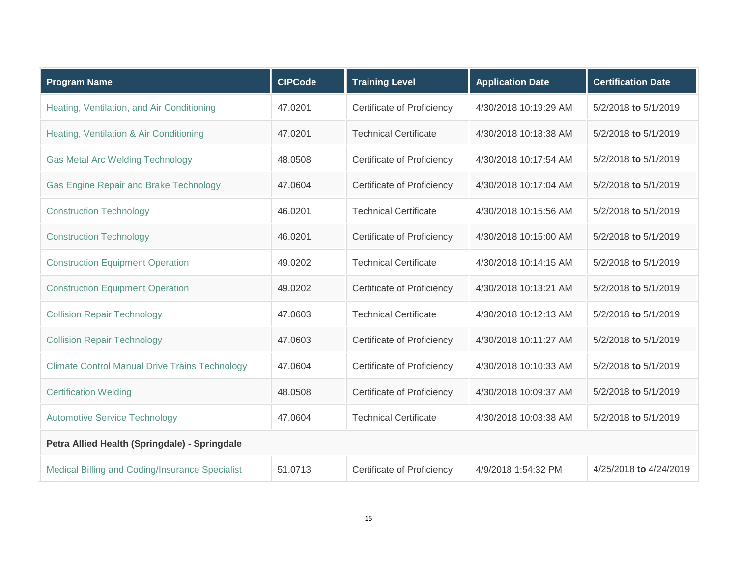| <b>Program Name</b>                                   | <b>CIPCode</b> | <b>Training Level</b>        | <b>Application Date</b> | <b>Certification Date</b> |
|-------------------------------------------------------|----------------|------------------------------|-------------------------|---------------------------|
| Heating, Ventilation, and Air Conditioning            | 47.0201        | Certificate of Proficiency   | 4/30/2018 10:19:29 AM   | 5/2/2018 to 5/1/2019      |
| Heating, Ventilation & Air Conditioning               | 47.0201        | <b>Technical Certificate</b> | 4/30/2018 10:18:38 AM   | 5/2/2018 to 5/1/2019      |
| <b>Gas Metal Arc Welding Technology</b>               | 48.0508        | Certificate of Proficiency   | 4/30/2018 10:17:54 AM   | 5/2/2018 to 5/1/2019      |
| <b>Gas Engine Repair and Brake Technology</b>         | 47.0604        | Certificate of Proficiency   | 4/30/2018 10:17:04 AM   | 5/2/2018 to 5/1/2019      |
| <b>Construction Technology</b>                        | 46.0201        | <b>Technical Certificate</b> | 4/30/2018 10:15:56 AM   | 5/2/2018 to 5/1/2019      |
| <b>Construction Technology</b>                        | 46.0201        | Certificate of Proficiency   | 4/30/2018 10:15:00 AM   | 5/2/2018 to 5/1/2019      |
| <b>Construction Equipment Operation</b>               | 49.0202        | <b>Technical Certificate</b> | 4/30/2018 10:14:15 AM   | 5/2/2018 to 5/1/2019      |
| <b>Construction Equipment Operation</b>               | 49.0202        | Certificate of Proficiency   | 4/30/2018 10:13:21 AM   | 5/2/2018 to 5/1/2019      |
| <b>Collision Repair Technology</b>                    | 47.0603        | <b>Technical Certificate</b> | 4/30/2018 10:12:13 AM   | 5/2/2018 to 5/1/2019      |
| <b>Collision Repair Technology</b>                    | 47.0603        | Certificate of Proficiency   | 4/30/2018 10:11:27 AM   | 5/2/2018 to 5/1/2019      |
| <b>Climate Control Manual Drive Trains Technology</b> | 47.0604        | Certificate of Proficiency   | 4/30/2018 10:10:33 AM   | 5/2/2018 to 5/1/2019      |
| <b>Certification Welding</b>                          | 48.0508        | Certificate of Proficiency   | 4/30/2018 10:09:37 AM   | 5/2/2018 to 5/1/2019      |
| <b>Automotive Service Technology</b>                  | 47.0604        | <b>Technical Certificate</b> | 4/30/2018 10:03:38 AM   | 5/2/2018 to 5/1/2019      |
| Petra Allied Health (Springdale) - Springdale         |                |                              |                         |                           |
| Medical Billing and Coding/Insurance Specialist       | 51.0713        | Certificate of Proficiency   | 4/9/2018 1:54:32 PM     | 4/25/2018 to 4/24/2019    |